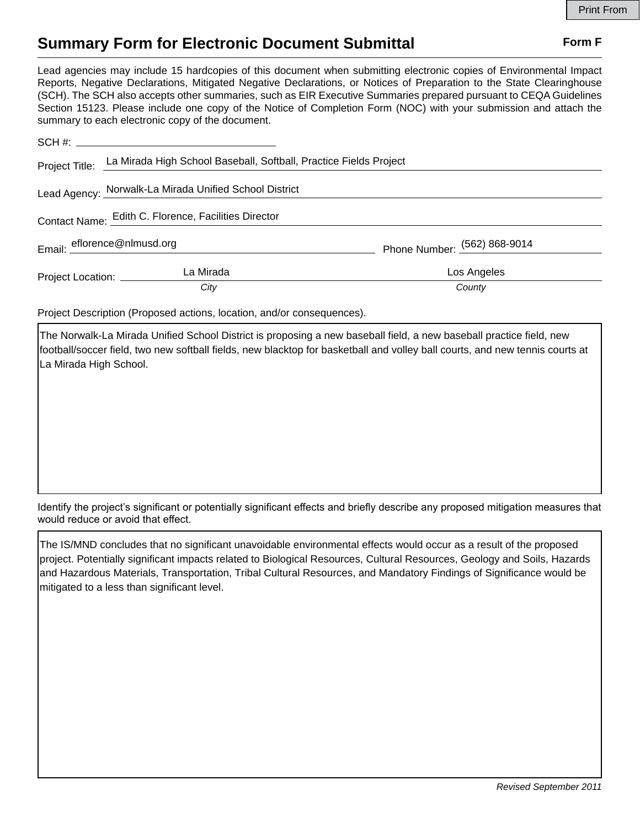## **Summary Form for Electronic Document Submittal Form F Form F**

Lead agencies may include 15 hardcopies of this document when submitting electronic copies of Environmental Impact Reports, Negative Declarations, Mitigated Negative Declarations, or Notices of Preparation to the State Clearinghouse (SCH). The SCH also accepts other summaries, such as EIR Executive Summaries prepared pursuant to CEQA Guidelines Section 15123. Please include one copy of the Notice of Completion Form (NOC) with your submission and attach the summary to each electronic copy of the document.

|                                                      | Project Title: La Mirada High School Baseball, Softball, Practice Fields Project |                                  |
|------------------------------------------------------|----------------------------------------------------------------------------------|----------------------------------|
|                                                      | Lead Agency: Norwalk-La Mirada Unified School District                           |                                  |
| Contact Name: Edith C. Florence, Facilities Director |                                                                                  |                                  |
|                                                      | Email: eflorence@nlmusd.org                                                      | Phone Number: $(562) 868 - 9014$ |
| Project Location: ________                           | La Mirada                                                                        | Los Angeles                      |
|                                                      | City                                                                             | County                           |

Project Description (Proposed actions, location, and/or consequences).

The Norwalk-La Mirada Unified School District is proposing a new baseball field, a new baseball practice field, new football/soccer field, two new softball fields, new blacktop for basketball and volley ball courts, and new tennis courts at La Mirada High School.

Identify the project's significant or potentially significant effects and briefly describe any proposed mitigation measures that would reduce or avoid that effect.

The IS/MND concludes that no significant unavoidable environmental effects would occur as a result of the proposed project. Potentially significant impacts related to Biological Resources, Cultural Resources, Geology and Soils, Hazards and Hazardous Materials, Transportation, Tribal Cultural Resources, and Mandatory Findings of Significance would be mitigated to a less than significant level.